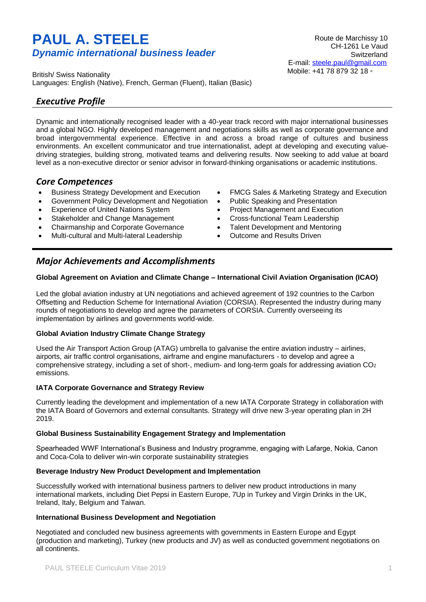# **PAUL A. STEELE** *Dynamic international business leader*

British/ Swiss Nationality Languages: English (Native), French, German (Fluent), Italian (Basic)

### *Executive Profile*

Dynamic and internationally recognised leader with a 40-year track record with major international businesses and a global NGO. Highly developed management and negotiations skills as well as corporate governance and broad intergovernmental experience. Effective in and across a broad range of cultures and business environments. An excellent communicator and true internationalist, adept at developing and executing valuedriving strategies, building strong, motivated teams and delivering results. Now seeking to add value at board level as a non-executive director or senior advisor in forward-thinking organisations or academic institutions.

#### *Core Competences*

- Business Strategy Development and Execution
- Government Policy Development and Negotiation
- Experience of United Nations System
- Stakeholder and Change Management
- Chairmanship and Corporate Governance
- Multi-cultural and Multi-lateral Leadership

# *Major Achievements and Accomplishments*

#### **Global Agreement on Aviation and Climate Change – International Civil Aviation Organisation (ICAO)**

Led the global aviation industry at UN negotiations and achieved agreement of 192 countries to the Carbon Offsetting and Reduction Scheme for International Aviation (CORSIA). Represented the industry during many rounds of negotiations to develop and agree the parameters of CORSIA. Currently overseeing its implementation by airlines and governments world-wide.

#### **Global Aviation Industry Climate Change Strategy**

Used the Air Transport Action Group (ATAG) umbrella to galvanise the entire aviation industry – airlines, airports, air traffic control organisations, airframe and engine manufacturers - to develop and agree a comprehensive strategy, including a set of short-, medium- and long-term goals for addressing aviation CO<sup>2</sup> emissions.

#### **IATA Corporate Governance and Strategy Review**

Currently leading the development and implementation of a new IATA Corporate Strategy in collaboration with the IATA Board of Governors and external consultants. Strategy will drive new 3-year operating plan in 2H 2019.

#### **Global Business Sustainability Engagement Strategy and Implementation**

Spearheaded WWF International's Business and Industry programme, engaging with Lafarge, Nokia, Canon and Coca-Cola to deliver win-win corporate sustainability strategies

#### **Beverage Industry New Product Development and Implementation**

Successfully worked with international business partners to deliver new product introductions in many international markets, including Diet Pepsi in Eastern Europe, 7Up in Turkey and Virgin Drinks in the UK, Ireland, Italy, Belgium and Taiwan.

#### **International Business Development and Negotiation**

Negotiated and concluded new business agreements with governments in Eastern Europe and Egypt (production and marketing), Turkey (new products and JV) as well as conducted government negotiations on all continents.

PAUL STEELE Curriculum Vitae 2019 1

- FMCG Sales & Marketing Strategy and Execution
- Public Speaking and Presentation
- Project Management and Execution
- Cross-functional Team Leadership
- Talent Development and Mentoring
- Outcome and Results Driven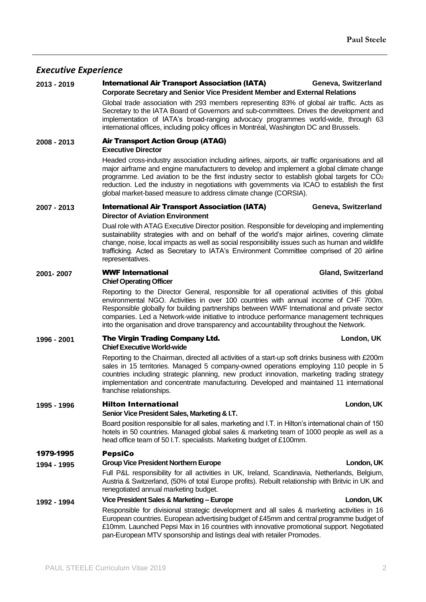### *Executive Experience*

### **2013 - 2019** International Air Transport Association (IATA) **Geneva, Switzerland**

**Corporate Secretary and Senior Vice President Member and External Relations** Global trade association with 293 members representing 83% of global air traffic. Acts as Secretary to the IATA Board of Governors and sub-committees. Drives the development and implementation of IATA's broad-ranging advocacy programmes world-wide, through 63 international offices, including policy offices in Montréal, Washington DC and Brussels.

#### **2008 - 2013** Air Transport Action Group (ATAG) **Executive Director**

Headed cross-industry association including airlines, airports, air traffic organisations and all major airframe and engine manufacturers to develop and implement a global climate change programme. Led aviation to be the first industry sector to establish global targets for CO<sup>2</sup> reduction. Led the industry in negotiations with governments via ICAO to establish the first global market-based measure to address climate change (CORSIA).

#### **2007 - 2013** International Air Transport Association (IATA) **Geneva, Switzerland Director of Aviation Environment**

Dual role with ATAG Executive Director position. Responsible for developing and implementing sustainability strategies with and on behalf of the world's major airlines, covering climate change, noise, local impacts as well as social responsibility issues such as human and wildlife trafficking. Acted as Secretary to IATA's Environment Committee comprised of 20 airline representatives.

### **2001- 2007** WWF International **Gland, Switzerland**

#### **Chief Operating Officer**

Reporting to the Director General, responsible for all operational activities of this global environmental NGO. Activities in over 100 countries with annual income of CHF 700m. Responsible globally for building partnerships between WWF International and private sector companies. Led a Network-wide initiative to introduce performance management techniques into the organisation and drove transparency and accountability throughout the Network.

#### **1996 - 2001** The Virgin Trading Company Ltd. **London, UK Chief Executive World-wide**

Reporting to the Chairman, directed all activities of a start-up soft drinks business with £200m sales in 15 territories. Managed 5 company-owned operations employing 110 people in 5 countries including strategic planning, new product innovation, marketing trading strategy implementation and concentrate manufacturing. Developed and maintained 11 international franchise relationships.

### **1995 - 1996** Hilton International **London, UK**

#### **Senior Vice President Sales, Marketing & I.T.**

Board position responsible for all sales, marketing and I.T. in Hilton's international chain of 150 hotels in 50 countries. Managed global sales & marketing team of 1000 people as well as a head office team of 50 I.T. specialists. Marketing budget of £100mm.

### 1979-1995 PepsiCo

### **1994 - 1995 Group Vice President Northern Europe London, UK**

Full P&L responsibility for all activities in UK, Ireland, Scandinavia, Netherlands, Belgium, Austria & Switzerland, (50% of total Europe profits). Rebuilt relationship with Britvic in UK and renegotiated annual marketing budget.

### **1992 - 1994 Vice President Sales & Marketing – Europe London, UK**

Responsible for divisional strategic development and all sales & marketing activities in 16 European countries. European advertising budget of £45mm and central programme budget of £10mm. Launched Pepsi Max in 16 countries with innovative promotional support. Negotiated pan-European MTV sponsorship and listings deal with retailer Promodes.